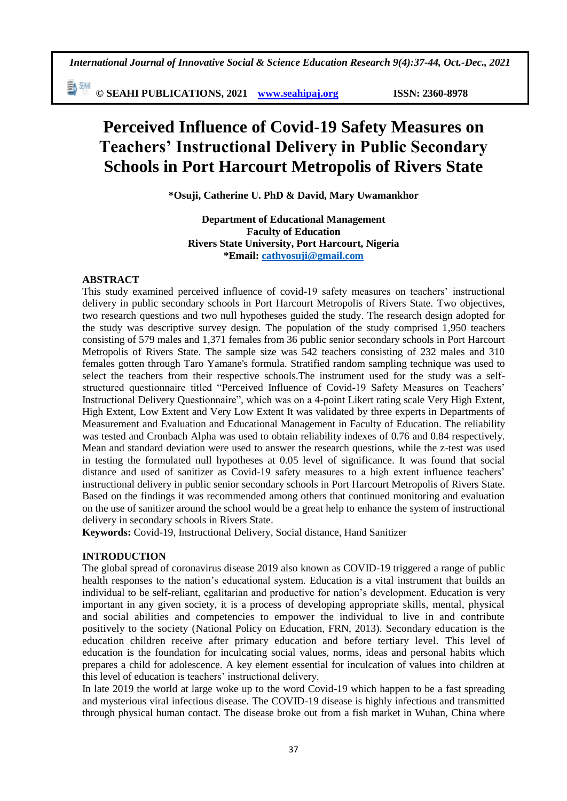*International Journal of Innovative Social & Science Education Research 9(4):37-44, Oct.-Dec., 2021*

勤卿 **© SEAHI PUBLICATIONS, 2021 [www.seahipaj.org](http://www.seahipaj.org/) ISSN: 2360-8978**

# **Perceived Influence of Covid-19 Safety Measures on Teachers' Instructional Delivery in Public Secondary Schools in Port Harcourt Metropolis of Rivers State**

**\*Osuji, Catherine U. PhD & David, Mary Uwamankhor**

**Department of Educational Management Faculty of Education Rivers State University, Port Harcourt, Nigeria \*Email: [cathyosuji@gmail.com](mailto:cathyosuji@gmail.com)**

#### **ABSTRACT**

This study examined perceived influence of covid-19 safety measures on teachers' instructional delivery in public secondary schools in Port Harcourt Metropolis of Rivers State. Two objectives, two research questions and two null hypotheses guided the study. The research design adopted for the study was descriptive survey design. The population of the study comprised 1,950 teachers consisting of 579 males and 1,371 females from 36 public senior secondary schools in Port Harcourt Metropolis of Rivers State. The sample size was 542 teachers consisting of 232 males and 310 females gotten through Taro Yamane's formula. Stratified random sampling technique was used to select the teachers from their respective schools.The instrument used for the study was a selfstructured questionnaire titled "Perceived Influence of Covid-19 Safety Measures on Teachers' Instructional Delivery Questionnaire", which was on a 4-point Likert rating scale Very High Extent, High Extent, Low Extent and Very Low Extent It was validated by three experts in Departments of Measurement and Evaluation and Educational Management in Faculty of Education. The reliability was tested and Cronbach Alpha was used to obtain reliability indexes of 0.76 and 0.84 respectively. Mean and standard deviation were used to answer the research questions, while the z-test was used in testing the formulated null hypotheses at 0.05 level of significance. It was found that social distance and used of sanitizer as Covid-19 safety measures to a high extent influence teachers' instructional delivery in public senior secondary schools in Port Harcourt Metropolis of Rivers State. Based on the findings it was recommended among others that continued monitoring and evaluation on the use of sanitizer around the school would be a great help to enhance the system of instructional delivery in secondary schools in Rivers State.

**Keywords:** Covid-19, Instructional Delivery, Social distance, Hand Sanitizer

#### **INTRODUCTION**

The global spread of coronavirus disease 2019 also known as COVID-19 triggered a range of public health responses to the nation's educational system. Education is a vital instrument that builds an individual to be self-reliant, egalitarian and productive for nation's development. Education is very important in any given society, it is a process of developing appropriate skills, mental, physical and social abilities and competencies to empower the individual to live in and contribute positively to the society (National Policy on Education, FRN, 2013). Secondary education is the education children receive after primary education and before tertiary level. This level of education is the foundation for inculcating social values, norms, ideas and personal habits which prepares a child for adolescence. A key element essential for inculcation of values into children at this level of education is teachers' instructional delivery.

In late 2019 the world at large woke up to the word Covid-19 which happen to be a fast spreading and mysterious viral infectious disease. The COVID-19 disease is highly infectious and transmitted through physical human contact. The disease broke out from a fish market in Wuhan, China where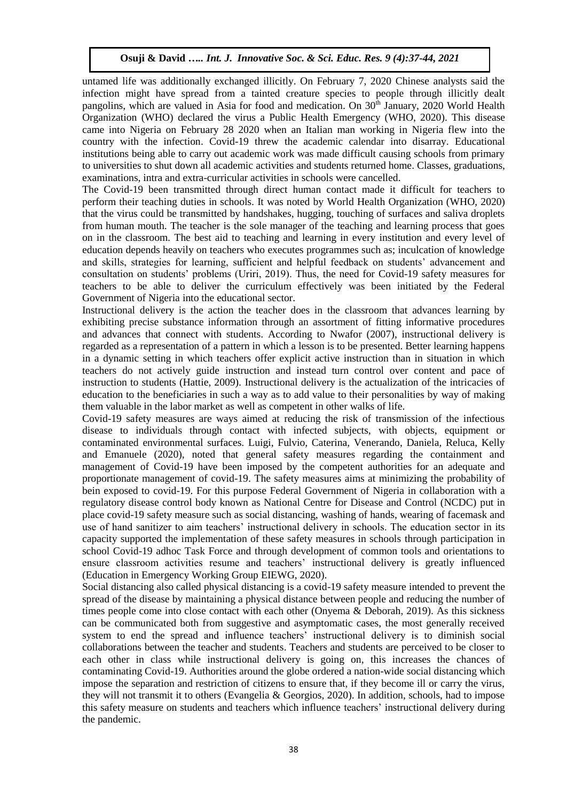untamed life was additionally exchanged illicitly. On February 7, 2020 Chinese analysts said the infection might have spread from a tainted creature species to people through illicitly dealt pangolins, which are valued in Asia for food and medication. On 30<sup>th</sup> January, 2020 World Health Organization (WHO) declared the virus a Public Health Emergency (WHO, 2020). This disease came into Nigeria on February 28 2020 when an Italian man working in Nigeria flew into the country with the infection. Covid-19 threw the academic calendar into disarray. Educational institutions being able to carry out academic work was made difficult causing schools from primary to universities to shut down all academic activities and students returned home. Classes, graduations, examinations, intra and extra-curricular activities in schools were cancelled.

The Covid-19 been transmitted through direct human contact made it difficult for teachers to perform their teaching duties in schools. It was noted by World Health Organization (WHO, 2020) that the virus could be transmitted by handshakes, hugging, touching of surfaces and saliva droplets from human mouth. The teacher is the sole manager of the teaching and learning process that goes on in the classroom. The best aid to teaching and learning in every institution and every level of education depends heavily on teachers who executes programmes such as; inculcation of knowledge and skills, strategies for learning, sufficient and helpful feedback on students' advancement and consultation on students' problems (Uriri, 2019). Thus, the need for Covid-19 safety measures for teachers to be able to deliver the curriculum effectively was been initiated by the Federal Government of Nigeria into the educational sector.

Instructional delivery is the action the teacher does in the classroom that advances learning by exhibiting precise substance information through an assortment of fitting informative procedures and advances that connect with students. According to Nwafor (2007), instructional delivery is regarded as a representation of a pattern in which a lesson is to be presented. Better learning happens in a dynamic setting in which teachers offer explicit active instruction than in situation in which teachers do not actively guide instruction and instead turn control over content and pace of instruction to students (Hattie, 2009). Instructional delivery is the actualization of the intricacies of education to the beneficiaries in such a way as to add value to their personalities by way of making them valuable in the labor market as well as competent in other walks of life.

Covid-19 safety measures are ways aimed at reducing the risk of transmission of the infectious disease to individuals through contact with infected subjects, with objects, equipment or contaminated environmental surfaces. Luigi, Fulvio, Caterina, Venerando, Daniela, Reluca, Kelly and Emanuele (2020), noted that general safety measures regarding the containment and management of Covid-19 have been imposed by the competent authorities for an adequate and proportionate management of covid-19. The safety measures aims at minimizing the probability of bein exposed to covid-19. For this purpose Federal Government of Nigeria in collaboration with a regulatory disease control body known as National Centre for Disease and Control (NCDC) put in place covid-19 safety measure such as social distancing, washing of hands, wearing of facemask and use of hand sanitizer to aim teachers' instructional delivery in schools. The education sector in its capacity supported the implementation of these safety measures in schools through participation in school Covid-19 adhoc Task Force and through development of common tools and orientations to ensure classroom activities resume and teachers' instructional delivery is greatly influenced (Education in Emergency Working Group EIEWG, 2020).

Social distancing also called physical distancing is a covid-19 safety measure intended to prevent the spread of the disease by maintaining a physical distance between people and reducing the number of times people come into close contact with each other (Onyema & Deborah, 2019). As this sickness can be communicated both from suggestive and asymptomatic cases, the most generally received system to end the spread and influence teachers' instructional delivery is to diminish social collaborations between the teacher and students. Teachers and students are perceived to be closer to each other in class while instructional delivery is going on, this increases the chances of contaminating Covid-19. Authorities around the globe ordered a nation-wide social distancing which impose the separation and restriction of citizens to ensure that, if they become ill or carry the virus, they will not transmit it to others (Evangelia & Georgios, 2020). In addition, schools, had to impose this safety measure on students and teachers which influence teachers' instructional delivery during the pandemic.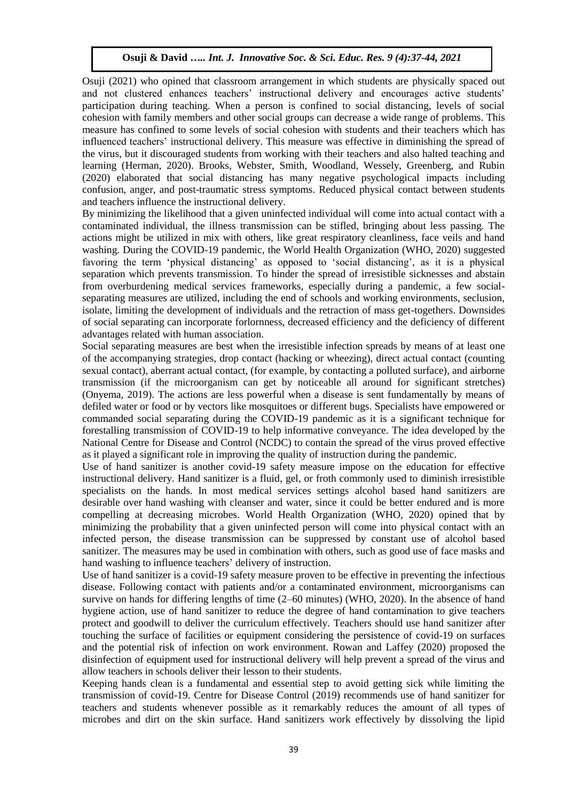Osuji (2021) who opined that classroom arrangement in which students are physically spaced out and not clustered enhances teachers' instructional delivery and encourages active students' participation during teaching. When a person is confined to social distancing, levels of social cohesion with family members and other social groups can decrease a wide range of problems. This measure has confined to some levels of social cohesion with students and their teachers which has influenced teachers' instructional delivery. This measure was effective in diminishing the spread of the virus, but it discouraged students from working with their teachers and also halted teaching and learning (Herman, 2020). Brooks, Webster, Smith, Woodland, Wessely, Greenberg, and Rubin (2020) elaborated that social distancing has many negative psychological impacts including confusion, anger, and post-traumatic stress symptoms. Reduced physical contact between students and teachers influence the instructional delivery.

By minimizing the likelihood that a given uninfected individual will come into actual contact with a contaminated individual, the illness transmission can be stifled, bringing about less passing. The actions might be utilized in mix with others, like great respiratory cleanliness, face veils and hand washing. During the COVID-19 pandemic, the World Health Organization (WHO, 2020) suggested favoring the term 'physical distancing' as opposed to 'social distancing', as it is a physical separation which prevents transmission. To hinder the spread of irresistible sicknesses and abstain from overburdening medical services frameworks, especially during a pandemic, a few socialseparating measures are utilized, including the end of schools and working environments, seclusion, isolate, limiting the development of individuals and the retraction of mass get-togethers. Downsides of social separating can incorporate forlornness, decreased efficiency and the deficiency of different advantages related with human association.

Social separating measures are best when the irresistible infection spreads by means of at least one of the accompanying strategies, drop contact (hacking or wheezing), direct actual contact (counting sexual contact), aberrant actual contact, (for example, by contacting a polluted surface), and airborne transmission (if the microorganism can get by noticeable all around for significant stretches) (Onyema, 2019). The actions are less powerful when a disease is sent fundamentally by means of defiled water or food or by vectors like mosquitoes or different bugs. Specialists have empowered or commanded social separating during the COVID-19 pandemic as it is a significant technique for forestalling transmission of COVID-19 to help informative conveyance. The idea developed by the National Centre for Disease and Control (NCDC) to contain the spread of the virus proved effective as it played a significant role in improving the quality of instruction during the pandemic.

Use of hand sanitizer is another covid-19 safety measure impose on the education for effective instructional delivery. Hand sanitizer is a fluid, gel, or froth commonly used to diminish irresistible specialists on the hands. In most medical services settings alcohol based hand sanitizers are desirable over hand washing with cleanser and water, since it could be better endured and is more compelling at decreasing microbes. World Health Organization (WHO, 2020) opined that by minimizing the probability that a given uninfected person will come into physical contact with an infected person, the disease transmission can be suppressed by constant use of alcohol based sanitizer. The measures may be used in combination with others, such as good use of face masks and hand washing to influence teachers' delivery of instruction.

Use of hand sanitizer is a covid-19 safety measure proven to be effective in preventing the infectious disease. Following contact with patients and/or a contaminated environment, microorganisms can survive on hands for differing lengths of time (2–60 minutes) (WHO, 2020). In the absence of hand hygiene action, use of hand sanitizer to reduce the degree of hand contamination to give teachers protect and goodwill to deliver the curriculum effectively. Teachers should use hand sanitizer after touching the surface of facilities or equipment considering the persistence of covid-19 on surfaces and the potential risk of infection on work environment. Rowan and Laffey (2020) proposed the disinfection of equipment used for instructional delivery will help prevent a spread of the virus and allow teachers in schools deliver their lesson to their students.

Keeping hands clean is a fundamental and essential step to avoid getting sick while limiting the transmission of covid-19. Centre for Disease Control (2019) recommends use of hand sanitizer for teachers and students whenever possible as it remarkably reduces the amount of all types of microbes and dirt on the skin surface. Hand sanitizers work effectively by dissolving the lipid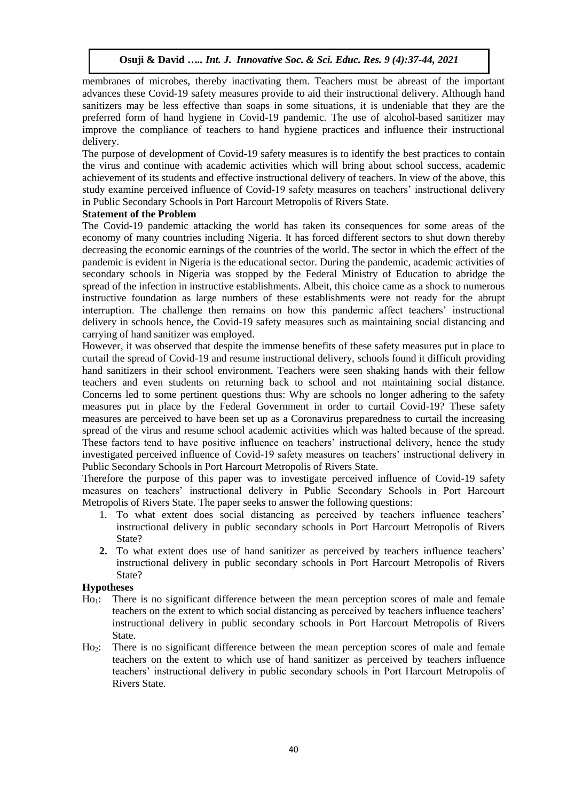membranes of microbes, thereby inactivating them. Teachers must be abreast of the important advances these Covid-19 safety measures provide to aid their instructional delivery. Although hand sanitizers may be less effective than soaps in some situations, it is undeniable that they are the preferred form of hand hygiene in Covid-19 pandemic. The use of alcohol-based sanitizer may improve the compliance of teachers to hand hygiene practices and influence their instructional delivery.

The purpose of development of Covid-19 safety measures is to identify the best practices to contain the virus and continue with academic activities which will bring about school success, academic achievement of its students and effective instructional delivery of teachers. In view of the above, this study examine perceived influence of Covid-19 safety measures on teachers' instructional delivery in Public Secondary Schools in Port Harcourt Metropolis of Rivers State.

# **Statement of the Problem**

The Covid-19 pandemic attacking the world has taken its consequences for some areas of the economy of many countries including Nigeria. It has forced different sectors to shut down thereby decreasing the economic earnings of the countries of the world. The sector in which the effect of the pandemic is evident in Nigeria is the educational sector. During the pandemic, academic activities of secondary schools in Nigeria was stopped by the Federal Ministry of Education to abridge the spread of the infection in instructive establishments. Albeit, this choice came as a shock to numerous instructive foundation as large numbers of these establishments were not ready for the abrupt interruption. The challenge then remains on how this pandemic affect teachers' instructional delivery in schools hence, the Covid-19 safety measures such as maintaining social distancing and carrying of hand sanitizer was employed.

However, it was observed that despite the immense benefits of these safety measures put in place to curtail the spread of Covid-19 and resume instructional delivery, schools found it difficult providing hand sanitizers in their school environment. Teachers were seen shaking hands with their fellow teachers and even students on returning back to school and not maintaining social distance. Concerns led to some pertinent questions thus: Why are schools no longer adhering to the safety measures put in place by the Federal Government in order to curtail Covid-19? These safety measures are perceived to have been set up as a Coronavirus preparedness to curtail the increasing spread of the virus and resume school academic activities which was halted because of the spread. These factors tend to have positive influence on teachers' instructional delivery, hence the study investigated perceived influence of Covid-19 safety measures on teachers' instructional delivery in Public Secondary Schools in Port Harcourt Metropolis of Rivers State.

Therefore the purpose of this paper was to investigate perceived influence of Covid-19 safety measures on teachers' instructional delivery in Public Secondary Schools in Port Harcourt Metropolis of Rivers State. The paper seeks to answer the following questions:

- 1. To what extent does social distancing as perceived by teachers influence teachers' instructional delivery in public secondary schools in Port Harcourt Metropolis of Rivers State?
- **2.** To what extent does use of hand sanitizer as perceived by teachers influence teachers' instructional delivery in public secondary schools in Port Harcourt Metropolis of Rivers State?

# **Hypotheses**

- Ho1: There is no significant difference between the mean perception scores of male and female teachers on the extent to which social distancing as perceived by teachers influence teachers' instructional delivery in public secondary schools in Port Harcourt Metropolis of Rivers State.
- Ho2: There is no significant difference between the mean perception scores of male and female teachers on the extent to which use of hand sanitizer as perceived by teachers influence teachers' instructional delivery in public secondary schools in Port Harcourt Metropolis of Rivers State.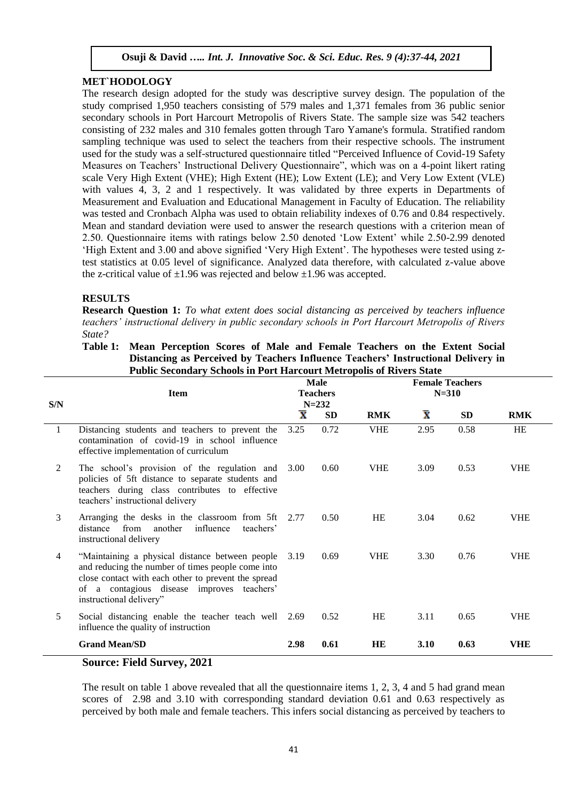# **MET`HODOLOGY**

The research design adopted for the study was descriptive survey design. The population of the study comprised 1,950 teachers consisting of 579 males and 1,371 females from 36 public senior secondary schools in Port Harcourt Metropolis of Rivers State. The sample size was 542 teachers consisting of 232 males and 310 females gotten through Taro Yamane's formula. Stratified random sampling technique was used to select the teachers from their respective schools. The instrument used for the study was a self-structured questionnaire titled "Perceived Influence of Covid-19 Safety Measures on Teachers' Instructional Delivery Questionnaire", which was on a 4-point likert rating scale Very High Extent (VHE); High Extent (HE); Low Extent (LE); and Very Low Extent (VLE) with values 4, 3, 2 and 1 respectively. It was validated by three experts in Departments of Measurement and Evaluation and Educational Management in Faculty of Education. The reliability was tested and Cronbach Alpha was used to obtain reliability indexes of 0.76 and 0.84 respectively. Mean and standard deviation were used to answer the research questions with a criterion mean of 2.50. Questionnaire items with ratings below 2.50 denoted 'Low Extent' while 2.50-2.99 denoted 'High Extent and 3.00 and above signified 'Very High Extent'. The hypotheses were tested using ztest statistics at 0.05 level of significance. Analyzed data therefore, with calculated z-value above the z-critical value of  $\pm 1.96$  was rejected and below  $\pm 1.96$  was accepted.

# **RESULTS**

**Research Question 1:** *To what extent does social distancing as perceived by teachers influence teachers' instructional delivery in public secondary schools in Port Harcourt Metropolis of Rivers State?*

#### **Table 1: Mean Perception Scores of Male and Female Teachers on the Extent Social Distancing as Perceived by Teachers Influence Teachers' Instructional Delivery in Public Secondary Schools in Port Harcourt Metropolis of Rivers State**

| S/N | <b>Item</b>                                                                                                                                                                                                                          |                         | <b>Male</b><br><b>Teachers</b><br>$N = 232$ | <b>Female Teachers</b><br>$N = 310$ |                    |           |            |
|-----|--------------------------------------------------------------------------------------------------------------------------------------------------------------------------------------------------------------------------------------|-------------------------|---------------------------------------------|-------------------------------------|--------------------|-----------|------------|
|     |                                                                                                                                                                                                                                      | $\overline{\mathbf{x}}$ | <b>SD</b>                                   | <b>RMK</b>                          | $\bar{\textbf{x}}$ | <b>SD</b> | <b>RMK</b> |
| 1   | Distancing students and teachers to prevent the<br>contamination of covid-19 in school influence<br>effective implementation of curriculum                                                                                           | 3.25                    | 0.72                                        | <b>VHE</b>                          | 2.95               | 0.58      | <b>HE</b>  |
| 2   | The school's provision of the regulation and<br>policies of 5ft distance to separate students and<br>teachers during class contributes to effective<br>teachers' instructional delivery                                              | 3.00                    | 0.60                                        | <b>VHE</b>                          | 3.09               | 0.53      | <b>VHE</b> |
| 3   | Arranging the desks in the classroom from 5ft 2.77<br>from another<br>distance<br>influence<br>teachers'<br>instructional delivery                                                                                                   |                         | 0.50                                        | HE                                  | 3.04               | 0.62      | <b>VHE</b> |
| 4   | "Maintaining a physical distance between people<br>and reducing the number of times people come into<br>close contact with each other to prevent the spread<br>of a contagious disease improves teachers'<br>instructional delivery" | 3.19                    | 0.69                                        | <b>VHE</b>                          | 3.30               | 0.76      | <b>VHE</b> |
| 5   | Social distancing enable the teacher teach well 2.69<br>influence the quality of instruction                                                                                                                                         |                         | 0.52                                        | HE                                  | 3.11               | 0.65      | <b>VHE</b> |
|     | <b>Grand Mean/SD</b>                                                                                                                                                                                                                 | 2.98                    | 0.61                                        | HE                                  | 3.10               | 0.63      | <b>VHE</b> |
|     | <b>Source: Field Survey, 2021</b>                                                                                                                                                                                                    |                         |                                             |                                     |                    |           |            |

# The result on table 1 above revealed that all the questionnaire items 1, 2, 3, 4 and 5 had grand mean

scores of 2.98 and 3.10 with corresponding standard deviation 0.61 and 0.63 respectively as perceived by both male and female teachers. This infers social distancing as perceived by teachers to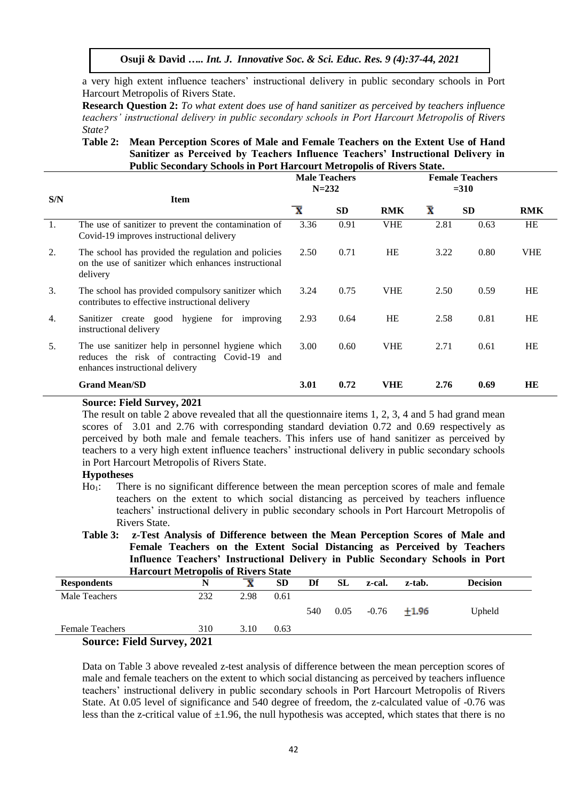a very high extent influence teachers' instructional delivery in public secondary schools in Port Harcourt Metropolis of Rivers State.

**Research Question 2:** *To what extent does use of hand sanitizer as perceived by teachers influence teachers' instructional delivery in public secondary schools in Port Harcourt Metropolis of Rivers State?*

#### **Table 2: Mean Perception Scores of Male and Female Teachers on the Extent Use of Hand Sanitizer as Perceived by Teachers Influence Teachers' Instructional Delivery in Public Secondary Schools in Port Harcourt Metropolis of Rivers State.**

|     |                                                                                                                                      | <b>Male Teachers</b><br>$N = 232$ |           | <b>Female Teachers</b><br>$= 310$ |                    |           |            |
|-----|--------------------------------------------------------------------------------------------------------------------------------------|-----------------------------------|-----------|-----------------------------------|--------------------|-----------|------------|
| S/N | <b>Item</b>                                                                                                                          | $\overline{\mathbf{x}}$           | <b>SD</b> | <b>RMK</b>                        | $\bar{\textbf{x}}$ | <b>SD</b> | <b>RMK</b> |
| 1.  | The use of sanitizer to prevent the contamination of<br>Covid-19 improves instructional delivery                                     | 3.36                              | 0.91      | <b>VHE</b>                        | 2.81               | 0.63      | <b>HE</b>  |
| 2.  | The school has provided the regulation and policies<br>on the use of sanitizer which enhances instructional<br>delivery              | 2.50                              | 0.71      | <b>HE</b>                         | 3.22               | 0.80      | <b>VHE</b> |
| 3.  | The school has provided compulsory sanitizer which<br>contributes to effective instructional delivery                                | 3.24                              | 0.75      | <b>VHE</b>                        | 2.50               | 0.59      | <b>HE</b>  |
| 4.  | Sanitizer create good hygiene for improving<br>instructional delivery                                                                | 2.93                              | 0.64      | <b>HE</b>                         | 2.58               | 0.81      | <b>HE</b>  |
| 5.  | The use sanitizer help in personnel hygiene which<br>reduces the risk of contracting Covid-19 and<br>enhances instructional delivery | 3.00                              | 0.60      | <b>VHE</b>                        | 2.71               | 0.61      | <b>HE</b>  |
|     | <b>Grand Mean/SD</b>                                                                                                                 | 3.01                              | 0.72      | <b>VHE</b>                        | 2.76               | 0.69      | <b>HE</b>  |

#### **Source: Field Survey, 2021**

The result on table 2 above revealed that all the questionnaire items 1, 2, 3, 4 and 5 had grand mean scores of 3.01 and 2.76 with corresponding standard deviation 0.72 and 0.69 respectively as perceived by both male and female teachers. This infers use of hand sanitizer as perceived by teachers to a very high extent influence teachers' instructional delivery in public secondary schools in Port Harcourt Metropolis of Rivers State.

#### **Hypotheses**

Ho<sub>1</sub>: There is no significant difference between the mean perception scores of male and female teachers on the extent to which social distancing as perceived by teachers influence teachers' instructional delivery in public secondary schools in Port Harcourt Metropolis of Rivers State.

**Table 3: z-Test Analysis of Difference between the Mean Perception Scores of Male and Female Teachers on the Extent Social Distancing as Perceived by Teachers Influence Teachers' Instructional Delivery in Public Secondary Schools in Port Harcourt Metropolis of Rivers State**

|                                   | <u>marcourt with opons of ite</u> vers share |      |           |     |           |         |         |                 |
|-----------------------------------|----------------------------------------------|------|-----------|-----|-----------|---------|---------|-----------------|
| <b>Respondents</b>                | N                                            |      | <b>SD</b> | Df  | <b>SL</b> | z-cal.  | z-tab.  | <b>Decision</b> |
| Male Teachers                     | 232                                          | 2.98 | 0.61      |     |           |         |         |                 |
|                                   |                                              |      |           | 540 | 0.05      | $-0.76$ | $+1.96$ | Upheld          |
| <b>Female Teachers</b>            | 310                                          | 3.10 | 0.63      |     |           |         |         |                 |
| <b>Source: Field Survey, 2021</b> |                                              |      |           |     |           |         |         |                 |

Data on Table 3 above revealed z-test analysis of difference between the mean perception scores of male and female teachers on the extent to which social distancing as perceived by teachers influence teachers' instructional delivery in public secondary schools in Port Harcourt Metropolis of Rivers State. At 0.05 level of significance and 540 degree of freedom, the z-calculated value of -0.76 was less than the z-critical value of  $\pm 1.96$ , the null hypothesis was accepted, which states that there is no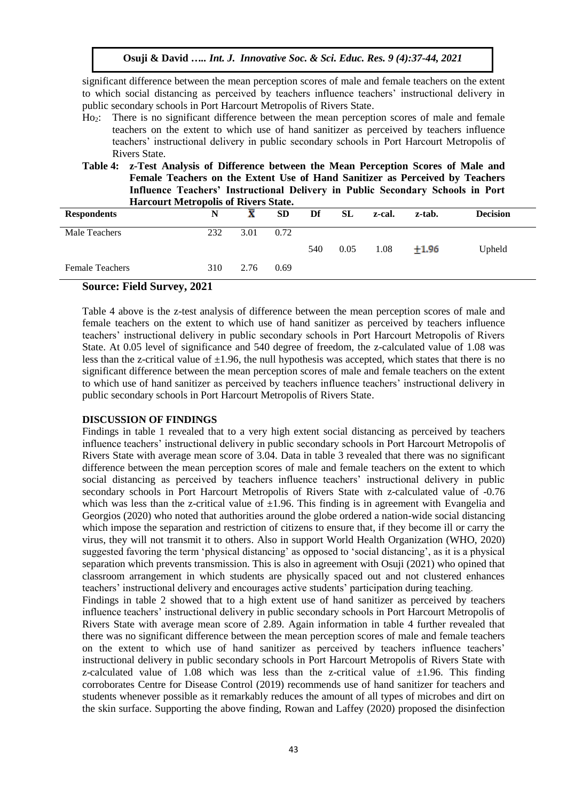significant difference between the mean perception scores of male and female teachers on the extent to which social distancing as perceived by teachers influence teachers' instructional delivery in public secondary schools in Port Harcourt Metropolis of Rivers State.

- Ho2: There is no significant difference between the mean perception scores of male and female teachers on the extent to which use of hand sanitizer as perceived by teachers influence teachers' instructional delivery in public secondary schools in Port Harcourt Metropolis of Rivers State.
- **Table 4: z-Test Analysis of Difference between the Mean Perception Scores of Male and Female Teachers on the Extent Use of Hand Sanitizer as Perceived by Teachers Influence Teachers' Instructional Delivery in Public Secondary Schools in Port Harcourt Metropolis of Rivers State.**

| <b>Respondents</b>     | N   | x    | <b>SD</b> | Df  | <b>SL</b> | z-cal. | z-tab.  | <b>Decision</b> |
|------------------------|-----|------|-----------|-----|-----------|--------|---------|-----------------|
| Male Teachers          | 232 | 3.01 | 0.72      |     |           |        |         |                 |
|                        |     |      |           | 540 | 0.05      | 1.08   | $+1.96$ | Upheld          |
| <b>Female Teachers</b> | 310 | 2.76 | 0.69      |     |           |        |         |                 |

# **Source: Field Survey, 2021**

Table 4 above is the z-test analysis of difference between the mean perception scores of male and female teachers on the extent to which use of hand sanitizer as perceived by teachers influence teachers' instructional delivery in public secondary schools in Port Harcourt Metropolis of Rivers State. At 0.05 level of significance and 540 degree of freedom, the z-calculated value of 1.08 was less than the z-critical value of  $\pm 1.96$ , the null hypothesis was accepted, which states that there is no significant difference between the mean perception scores of male and female teachers on the extent to which use of hand sanitizer as perceived by teachers influence teachers' instructional delivery in public secondary schools in Port Harcourt Metropolis of Rivers State.

#### **DISCUSSION OF FINDINGS**

Findings in table 1 revealed that to a very high extent social distancing as perceived by teachers influence teachers' instructional delivery in public secondary schools in Port Harcourt Metropolis of Rivers State with average mean score of 3.04. Data in table 3 revealed that there was no significant difference between the mean perception scores of male and female teachers on the extent to which social distancing as perceived by teachers influence teachers' instructional delivery in public secondary schools in Port Harcourt Metropolis of Rivers State with z-calculated value of -0.76 which was less than the z-critical value of  $\pm 1.96$ . This finding is in agreement with Evangelia and Georgios (2020) who noted that authorities around the globe ordered a nation-wide social distancing which impose the separation and restriction of citizens to ensure that, if they become ill or carry the virus, they will not transmit it to others. Also in support World Health Organization (WHO, 2020) suggested favoring the term 'physical distancing' as opposed to 'social distancing', as it is a physical separation which prevents transmission. This is also in agreement with Osuji (2021) who opined that classroom arrangement in which students are physically spaced out and not clustered enhances teachers' instructional delivery and encourages active students' participation during teaching.

Findings in table 2 showed that to a high extent use of hand sanitizer as perceived by teachers influence teachers' instructional delivery in public secondary schools in Port Harcourt Metropolis of Rivers State with average mean score of 2.89. Again information in table 4 further revealed that there was no significant difference between the mean perception scores of male and female teachers on the extent to which use of hand sanitizer as perceived by teachers influence teachers' instructional delivery in public secondary schools in Port Harcourt Metropolis of Rivers State with z-calculated value of 1.08 which was less than the z-critical value of  $\pm 1.96$ . This finding corroborates Centre for Disease Control (2019) recommends use of hand sanitizer for teachers and students whenever possible as it remarkably reduces the amount of all types of microbes and dirt on the skin surface. Supporting the above finding, Rowan and Laffey (2020) proposed the disinfection